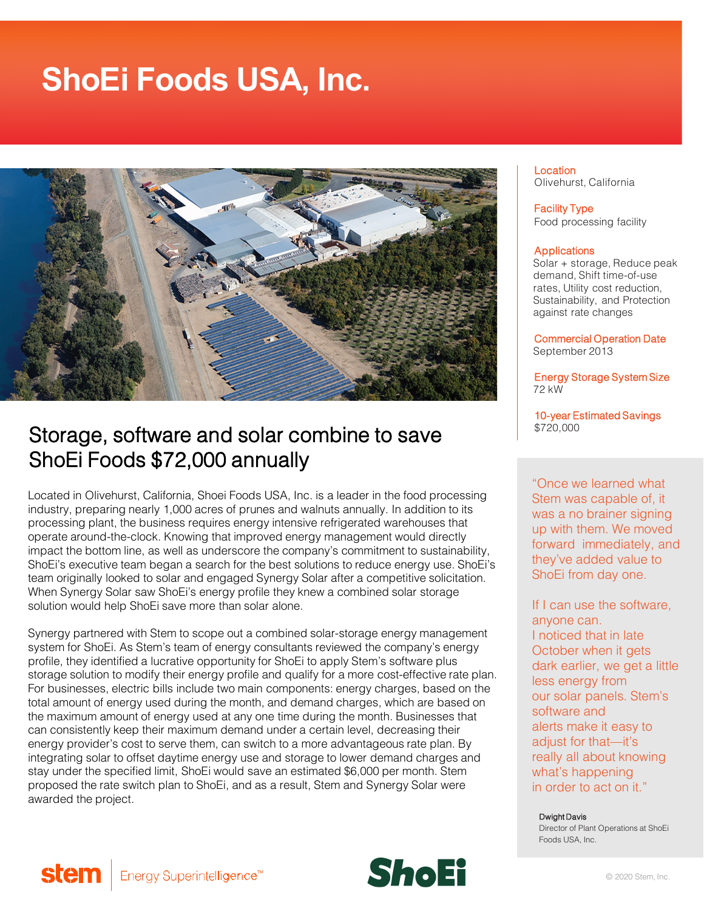# **ShoEi Foods USA, Inc.**



# Storage, software and solar combine to save ShoEi Foods \$72,000 annually

Located in Olivehurst, California, Shoei Foods USA, Inc. is a leader in the food processing industry, preparing nearly 1,000 acres of prunes and walnuts annually. In addition to its processing plant, the business requires energy intensive refrigerated warehouses that operate around-the-clock. Knowing that improved energy management would directly impact the bottom line, as well as underscore the company's commitment to sustainability, ShoEi's executive team began a search for the best solutions to reduce energy use. ShoEi's team originally looked to solar and engaged Synergy Solar after a competitive solicitation. When Synergy Solar saw ShoEi's energy profile they knew a combined solar storage solution would help ShoEi save more than solar alone.

Synergy partnered with Stem to scope out a combined solar-storage energy management system for ShoEi. As Stem's team of energy consultants reviewed the company's energy profile, they identified a lucrative opportunity for ShoEi to apply Stem's software plus storage solution to modify their energy profile and qualify for a more cost-effective rate plan. For businesses, electric bills include two main components: energy charges, based on the total amount of energy used during the month, and demand charges, which are based on the maximum amount of energy used at any one time during the month. Businesses that can consistently keep their maximum demand under a certain level, decreasing their energy provider's cost to serve them, can switch to a more advantageous rate plan. By integrating solar to offset daytime energy use and storage to lower demand charges and stay under the specified limit, ShoEi would save an estimated \$6,000 per month. Stem proposed the rate switch plan to ShoEi, and as a result, Stem and Synergy Solar were awarded the project.

Energy Superintelligence<sup>™</sup>

stem

**Location** Olivehurst, California

Facility Type Food processing facility

#### **Applications**

Solar + storage, Reduce peak demand, Shift time-of-use rates, Utility cost reduction, Sustainability, and Protection against rate changes

Commercial Operation Date September 2013

Energy Storage System Size 72 kW

10-year Estimated Savings \$720,000

"Once we learned what Stem was capable of, it was a no brainer signing up with them. We moved forward immediately, and they've added value to ShoEi from day one.

If I can use the software, anyone can. I noticed that in late October when it gets dark earlier, we get a little less energy from our solar panels. Stem's software and alerts make it easy to adjust for that—it's really all about knowing what's happening in order to act on it."

#### Dwight Davis

Director of Plant Operations at ShoEi Foods USA, Inc.